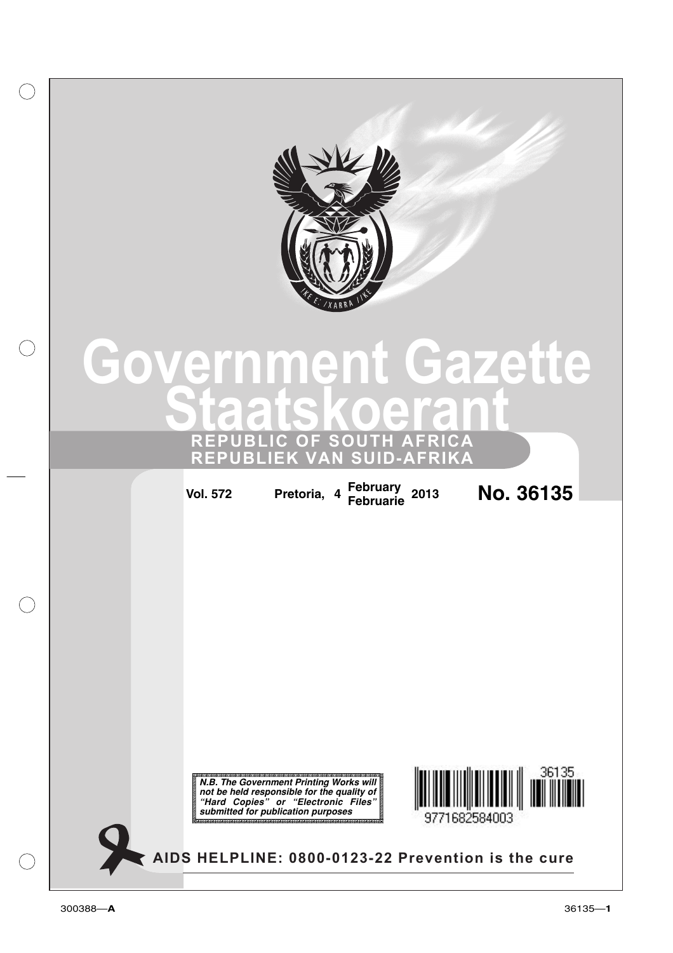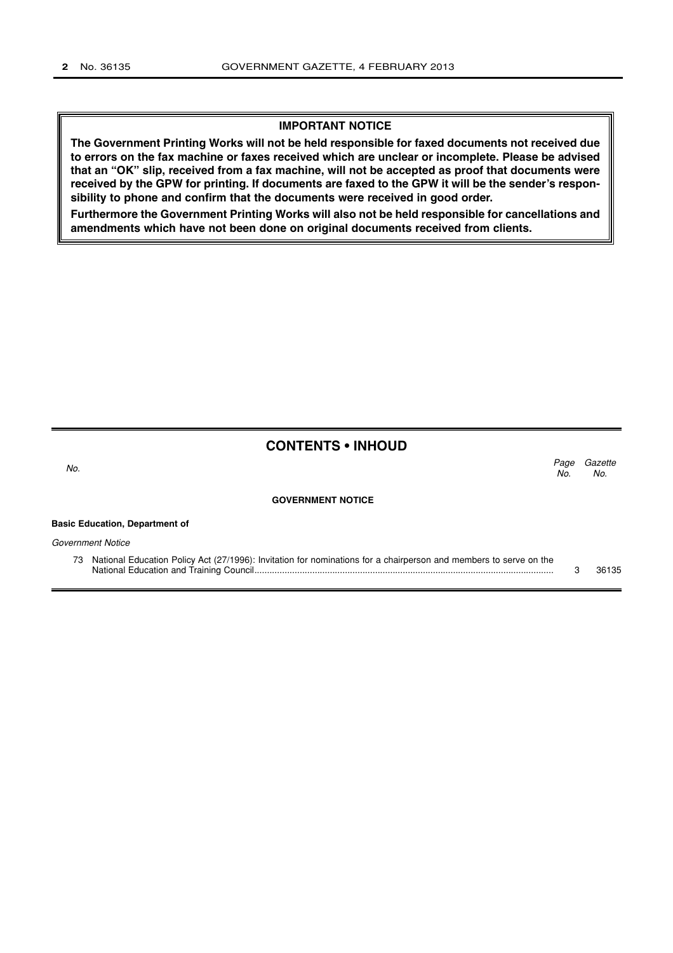## **IMPORTANT NOTICE**

**The Government Printing Works will not be held responsible for faxed documents not received due to errors on the fax machine or faxes received which are unclear or incomplete. Please be advised that an "OK" slip, received from a fax machine, will not be accepted as proof that documents were received by the GPW for printing. If documents are faxed to the GPW it will be the sender's responsibility to phone and confirm that the documents were received in good order.**

**Furthermore the Government Printing Works will also not be held responsible for cancellations and amendments which have not been done on original documents received from clients.**

# **CONTENTS • INHOUD**

**Basic Education, Department of**

Gazette No. Page No.  $\sim$  No.

#### **GOVERNMENT NOTICE**

| Government Notice |                                                                                                                      |  |       |
|-------------------|----------------------------------------------------------------------------------------------------------------------|--|-------|
|                   | 73 National Education Policy Act (27/1996): Invitation for nominations for a chairperson and members to serve on the |  |       |
|                   |                                                                                                                      |  | 36135 |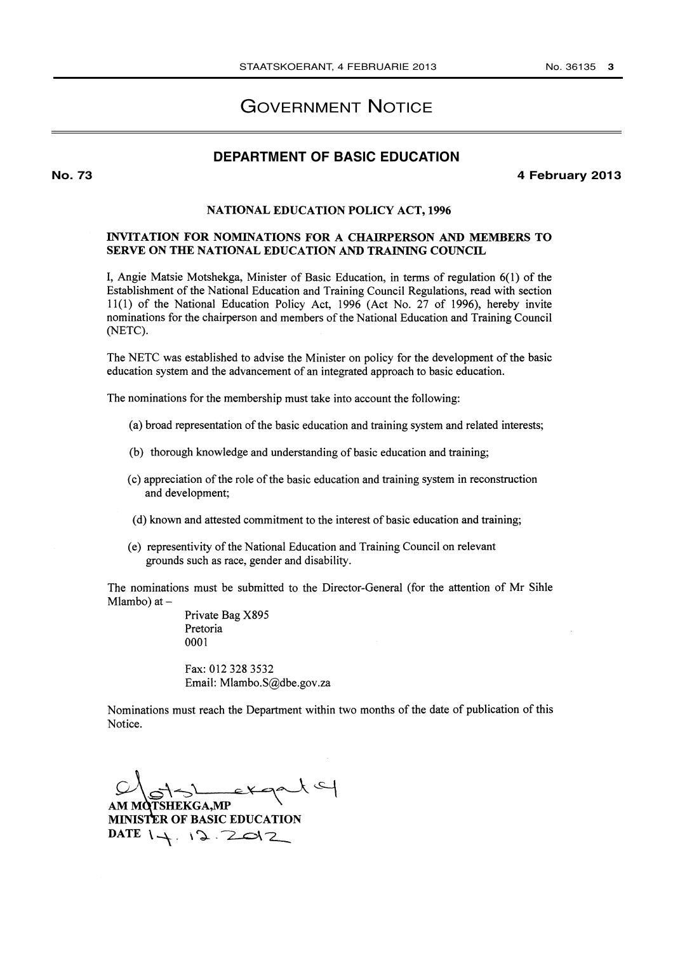# GOVERNMENT NOTICE

# **DEPARTMENT OF BASIC EDUCATION**

**No. 73 4 February 2013**

### NATIONAL EDUCATION POLICY ACT, 1996

### INVITATION FOR NOMINATIONS FOR A CHAIRPERSON AND MEMBERS TO SERVE ON THE NATIONAL EDUCATION AND TRAINING COUNCIL

I, Angie Matsie Motshekga, Minister of Basic Education, in terms of regulation 6(1) of the Establishment of the National Education and Training Council Regulations, read with section 11(1) of the National Education Policy Act, 1996 (Act No. 27 of 1996), hereby invite nominations for the chairperson and members of the National Education and Training Council (NETC).

The NETC was established to advise the Minister on policy for the development of the basic education system and the advancement of an integrated approach to basic education.

The nominations for the membership must take into account the following:

- (a) broad representation of the basic education and training system and related interests;
- (b) thorough knowledge and understanding of basic education and training;
- (c) appreciation of the role of the basic education and training system in reconstruction and development;
- (d) known and attested commitment to the interest of basic education and training;
- (e) representivity of the National Education and Training Council on relevant grounds such as race, gender and disability.

The nominations must be submitted to the Director-General (for the attention of Mr Sihle Mlambo) at  $-$ 

> Private Bag X895 Pretoria 0001

Fax: 012 328 3532 Email: Mlambo.S@dbe.gov.za

Nominations must reach the Department within two months of the date of publication of this Notice.

MOTSHEKGA,MP

MINISTER OF BASIC EDUCATION  $DATE$   $1 + 12.2012$